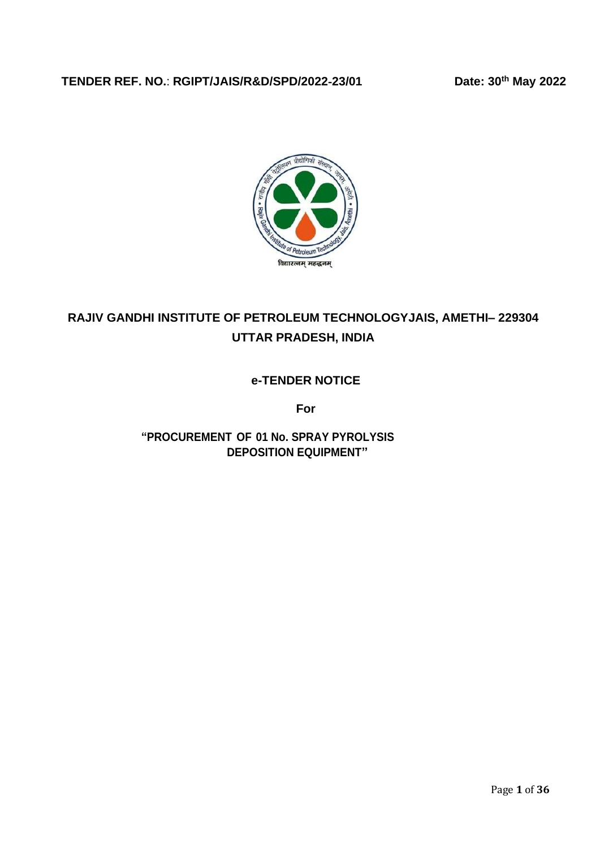## **TENDER REF. NO.**: **RGIPT/JAIS/R&D/SPD/2022**‐**23/01 Date: 30th May 2022**



# **RAJIV GANDHI INSTITUTE OF PETROLEUM TECHNOLOGYJAIS, AMETHI– 229304 UTTAR PRADESH, INDIA**

## **e-TENDER NOTICE**

**For**

**"PROCUREMENT OF 01 No. SPRAY PYROLYSIS DEPOSITION EQUIPMENT"**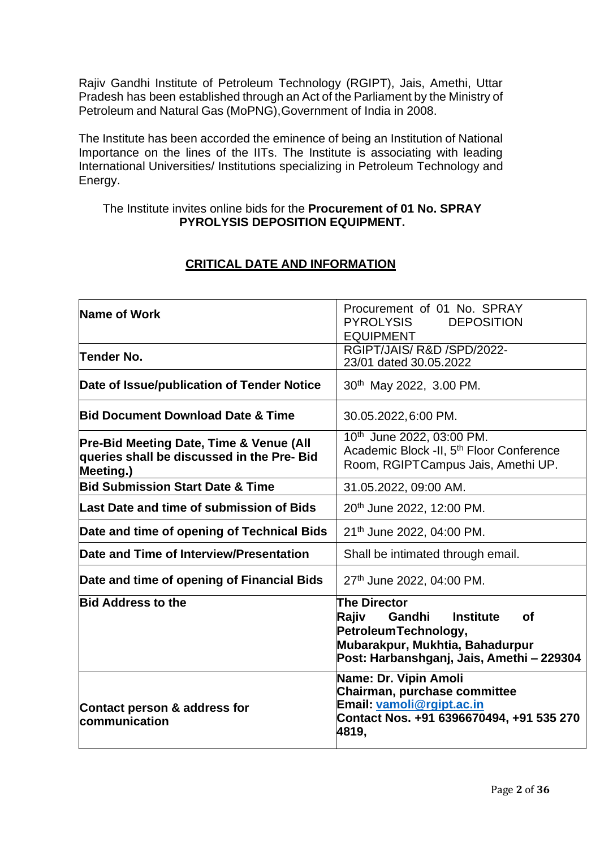Rajiv Gandhi Institute of Petroleum Technology (RGIPT), Jais, Amethi, Uttar Pradesh has been established through an Act of the Parliament by the Ministry of Petroleum and Natural Gas (MoPNG),Government of India in 2008.

The Institute has been accorded the eminence of being an Institution of National Importance on the lines of the IITs. The Institute is associating with leading International Universities/ Institutions specializing in Petroleum Technology and Energy.

#### The Institute invites online bids for the **Procurement of 01 No. SPRAY PYROLYSIS DEPOSITION EQUIPMENT.**

| Name of Work                                                                                                  | Procurement of 01 No. SPRAY<br><b>DEPOSITION</b><br>PYROLYSIS<br><b>EQUIPMENT</b>                                                                                                |
|---------------------------------------------------------------------------------------------------------------|----------------------------------------------------------------------------------------------------------------------------------------------------------------------------------|
| Tender No.                                                                                                    | RGIPT/JAIS/R&D/SPD/2022-<br>23/01 dated 30.05.2022                                                                                                                               |
| Date of Issue/publication of Tender Notice                                                                    | 30th May 2022, 3.00 PM.                                                                                                                                                          |
| <b>Bid Document Download Date &amp; Time</b>                                                                  | 30.05.2022, 6:00 PM.                                                                                                                                                             |
| <b>Pre-Bid Meeting Date, Time &amp; Venue (All</b><br>queries shall be discussed in the Pre- Bid<br>Meeting.) | 10th June 2022, 03:00 PM.<br>Academic Block -II, 5 <sup>th</sup> Floor Conference<br>Room, RGIPTCampus Jais, Amethi UP.                                                          |
| <b>Bid Submission Start Date &amp; Time</b>                                                                   | 31.05.2022, 09:00 AM.                                                                                                                                                            |
| Last Date and time of submission of Bids                                                                      | 20th June 2022, 12:00 PM.                                                                                                                                                        |
| Date and time of opening of Technical Bids                                                                    | 21th June 2022, 04:00 PM.                                                                                                                                                        |
| Date and Time of Interview/Presentation                                                                       | Shall be intimated through email.                                                                                                                                                |
| Date and time of opening of Financial Bids                                                                    | 27th June 2022, 04:00 PM.                                                                                                                                                        |
| <b>Bid Address to the</b>                                                                                     | <b>The Director</b><br>Rajiv<br>Gandhi<br><b>Institute</b><br><b>of</b><br>Petroleum Technology,<br>Mubarakpur, Mukhtia, Bahadurpur<br>Post: Harbanshganj, Jais, Amethi - 229304 |
| Contact person & address for<br><b>communication</b>                                                          | Name: Dr. Vipin Amoli<br>Chairman, purchase committee<br>Email: vamoli@rgipt.ac.in<br>Contact Nos. +91 6396670494, +91 535 270<br>4819,                                          |

## **CRITICAL DATE AND INFORMATION**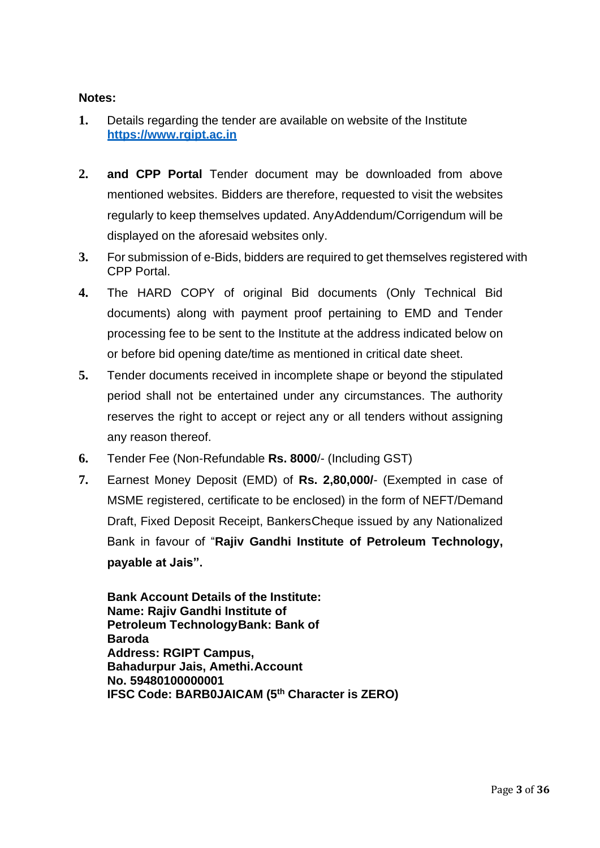### **Notes:**

- **1.** Details regarding the tender are available on website of the Institute **[https://www.rgipt.ac.in](http://www.rgipt.ac.in/)**
- **2. and CPP Portal** Tender document may be downloaded from above mentioned websites. Bidders are therefore, requested to visit the websites regularly to keep themselves updated. AnyAddendum/Corrigendum will be displayed on the aforesaid websites only.
- **3.** For submission of e-Bids, bidders are required to get themselves registered with CPP Portal.
- **4.** The HARD COPY of original Bid documents (Only Technical Bid documents) along with payment proof pertaining to EMD and Tender processing fee to be sent to the Institute at the address indicated below on or before bid opening date/time as mentioned in critical date sheet.
- **5.** Tender documents received in incomplete shape or beyond the stipulated period shall not be entertained under any circumstances. The authority reserves the right to accept or reject any or all tenders without assigning any reason thereof.
- **6.** Tender Fee (Non-Refundable **Rs. 8000**/- (Including GST)
- **7.** Earnest Money Deposit (EMD) of **Rs. 2,80,000/** (Exempted in case of MSME registered, certificate to be enclosed) in the form of NEFT/Demand Draft, Fixed Deposit Receipt, BankersCheque issued by any Nationalized Bank in favour of "**Rajiv Gandhi Institute of Petroleum Technology, payable at Jais".**

**Bank Account Details of the Institute: Name: Rajiv Gandhi Institute of Petroleum TechnologyBank: Bank of Baroda Address: RGIPT Campus, Bahadurpur Jais, Amethi.Account No. 59480100000001 IFSC Code: BARB0JAICAM (5th Character is ZERO)**